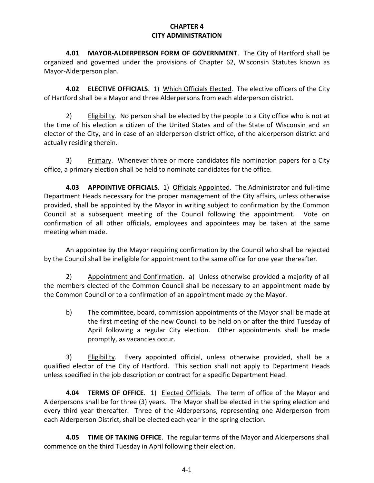## **CHAPTER 4 CITY ADMINISTRATION**

**4.01 MAYOR-ALDERPERSON FORM OF GOVERNMENT**. The City of Hartford shall be organized and governed under the provisions of Chapter 62, Wisconsin Statutes known as Mayor-Alderperson plan.

**4.02 ELECTIVE OFFICIALS**. 1) Which Officials Elected. The elective officers of the City of Hartford shall be a Mayor and three Alderpersons from each alderperson district.

2) Eligibility. No person shall be elected by the people to a City office who is not at the time of his election a citizen of the United States and of the State of Wisconsin and an elector of the City, and in case of an alderperson district office, of the alderperson district and actually residing therein.

3) Primary. Whenever three or more candidates file nomination papers for a City office, a primary election shall be held to nominate candidates for the office.

**4.03 APPOINTIVE OFFICIALS**. 1) Officials Appointed. The Administrator and full-time Department Heads necessary for the proper management of the City affairs, unless otherwise provided, shall be appointed by the Mayor in writing subject to confirmation by the Common Council at a subsequent meeting of the Council following the appointment. Vote on confirmation of all other officials, employees and appointees may be taken at the same meeting when made.

An appointee by the Mayor requiring confirmation by the Council who shall be rejected by the Council shall be ineligible for appointment to the same office for one year thereafter.

2) Appointment and Confirmation. a) Unless otherwise provided a majority of all the members elected of the Common Council shall be necessary to an appointment made by the Common Council or to a confirmation of an appointment made by the Mayor.

b) The committee, board, commission appointments of the Mayor shall be made at the first meeting of the new Council to be held on or after the third Tuesday of April following a regular City election. Other appointments shall be made promptly, as vacancies occur.

3) Eligibility. Every appointed official, unless otherwise provided, shall be a qualified elector of the City of Hartford. This section shall not apply to Department Heads unless specified in the job description or contract for a specific Department Head.

**4.04 TERMS OF OFFICE**. 1) Elected Officials. The term of office of the Mayor and Alderpersons shall be for three (3) years. The Mayor shall be elected in the spring election and every third year thereafter. Three of the Alderpersons, representing one Alderperson from each Alderperson District, shall be elected each year in the spring election.

**4.05 TIME OF TAKING OFFICE**. The regular terms of the Mayor and Alderpersons shall commence on the third Tuesday in April following their election.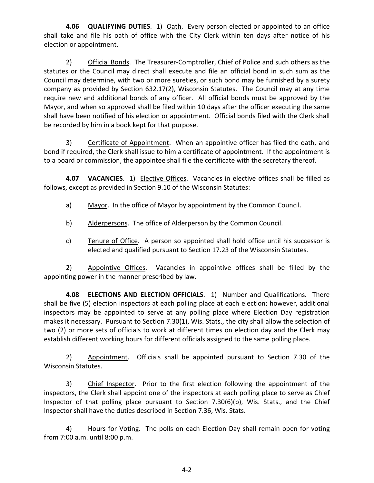**4.06 QUALIFYING DUTIES**. 1) Oath. Every person elected or appointed to an office shall take and file his oath of office with the City Clerk within ten days after notice of his election or appointment.

2) Official Bonds. The Treasurer-Comptroller, Chief of Police and such others as the statutes or the Council may direct shall execute and file an official bond in such sum as the Council may determine, with two or more sureties, or such bond may be furnished by a surety company as provided by Section 632.17(2), Wisconsin Statutes. The Council may at any time require new and additional bonds of any officer. All official bonds must be approved by the Mayor, and when so approved shall be filed within 10 days after the officer executing the same shall have been notified of his election or appointment. Official bonds filed with the Clerk shall be recorded by him in a book kept for that purpose.

3) Certificate of Appointment. When an appointive officer has filed the oath, and bond if required, the Clerk shall issue to him a certificate of appointment. If the appointment is to a board or commission, the appointee shall file the certificate with the secretary thereof.

**4.07 VACANCIES**. 1) Elective Offices. Vacancies in elective offices shall be filled as follows, except as provided in Section 9.10 of the Wisconsin Statutes:

- a) Mayor. In the office of Mayor by appointment by the Common Council.
- b) Alderpersons. The office of Alderperson by the Common Council.
- c) Tenure of Office. A person so appointed shall hold office until his successor is elected and qualified pursuant to Section 17.23 of the Wisconsin Statutes.

2) Appointive Offices. Vacancies in appointive offices shall be filled by the appointing power in the manner prescribed by law.

**4.08 ELECTIONS AND ELECTION OFFICIALS**. 1) Number and Qualifications. There shall be five (5) election inspectors at each polling place at each election; however, additional inspectors may be appointed to serve at any polling place where Election Day registration makes it necessary. Pursuant to Section 7.30(1), Wis. Stats., the city shall allow the selection of two (2) or more sets of officials to work at different times on election day and the Clerk may establish different working hours for different officials assigned to the same polling place.

2) Appointment. Officials shall be appointed pursuant to Section 7.30 of the Wisconsin Statutes.

3) Chief Inspector. Prior to the first election following the appointment of the inspectors, the Clerk shall appoint one of the inspectors at each polling place to serve as Chief Inspector of that polling place pursuant to Section 7.30(6)(b), Wis. Stats., and the Chief Inspector shall have the duties described in Section 7.36, Wis. Stats.

4) Hours for Voting. The polls on each Election Day shall remain open for voting from 7:00 a.m. until 8:00 p.m.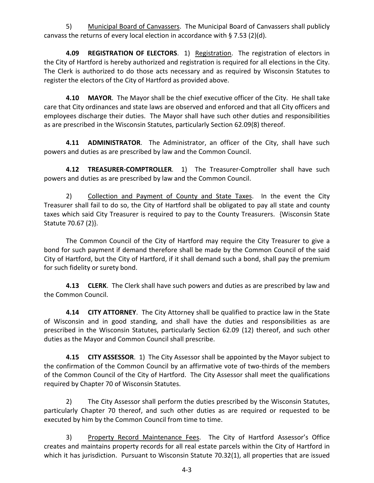5) Municipal Board of Canvassers. The Municipal Board of Canvassers shall publicly canvass the returns of every local election in accordance with § 7.53 (2)(d).

**4.09 REGISTRATION OF ELECTORS**. 1) Registration. The registration of electors in the City of Hartford is hereby authorized and registration is required for all elections in the City. The Clerk is authorized to do those acts necessary and as required by Wisconsin Statutes to register the electors of the City of Hartford as provided above.

**4.10 MAYOR**. The Mayor shall be the chief executive officer of the City. He shall take care that City ordinances and state laws are observed and enforced and that all City officers and employees discharge their duties. The Mayor shall have such other duties and responsibilities as are prescribed in the Wisconsin Statutes, particularly Section 62.09(8) thereof.

**4.11 ADMINISTRATOR**. The Administrator, an officer of the City, shall have such powers and duties as are prescribed by law and the Common Council.

**4.12 TREASURER-COMPTROLLER**. 1) The Treasurer-Comptroller shall have such powers and duties as are prescribed by law and the Common Council.

2) Collection and Payment of County and State Taxes. In the event the City Treasurer shall fail to do so, the City of Hartford shall be obligated to pay all state and county taxes which said City Treasurer is required to pay to the County Treasurers. {Wisconsin State Statute 70.67 (2)}.

The Common Council of the City of Hartford may require the City Treasurer to give a bond for such payment if demand therefore shall be made by the Common Council of the said City of Hartford, but the City of Hartford, if it shall demand such a bond, shall pay the premium for such fidelity or surety bond.

**4.13 CLERK**. The Clerk shall have such powers and duties as are prescribed by law and the Common Council.

**4.14 CITY ATTORNEY**. The City Attorney shall be qualified to practice law in the State of Wisconsin and in good standing, and shall have the duties and responsibilities as are prescribed in the Wisconsin Statutes, particularly Section 62.09 (12) thereof, and such other duties as the Mayor and Common Council shall prescribe.

**4.15 CITY ASSESSOR**. 1) The City Assessor shall be appointed by the Mayor subject to the confirmation of the Common Council by an affirmative vote of two-thirds of the members of the Common Council of the City of Hartford. The City Assessor shall meet the qualifications required by Chapter 70 of Wisconsin Statutes.

2) The City Assessor shall perform the duties prescribed by the Wisconsin Statutes, particularly Chapter 70 thereof, and such other duties as are required or requested to be executed by him by the Common Council from time to time.

3) Property Record Maintenance Fees. The City of Hartford Assessor's Office creates and maintains property records for all real estate parcels within the City of Hartford in which it has jurisdiction. Pursuant to Wisconsin Statute 70.32(1), all properties that are issued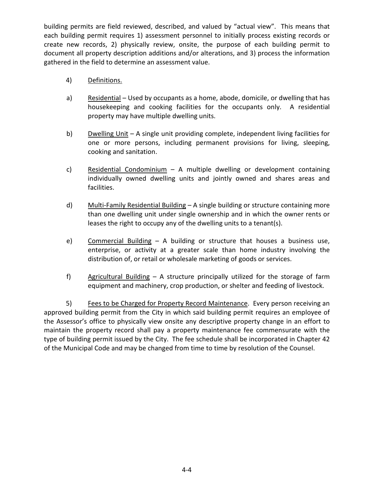building permits are field reviewed, described, and valued by "actual view". This means that each building permit requires 1) assessment personnel to initially process existing records or create new records, 2) physically review, onsite, the purpose of each building permit to document all property description additions and/or alterations, and 3) process the information gathered in the field to determine an assessment value.

- 4) Definitions.
- a) Residential Used by occupants as a home, abode, domicile, or dwelling that has housekeeping and cooking facilities for the occupants only. A residential property may have multiple dwelling units.
- b) Dwelling Unit A single unit providing complete, independent living facilities for one or more persons, including permanent provisions for living, sleeping, cooking and sanitation.
- c) Residential Condominium A multiple dwelling or development containing individually owned dwelling units and jointly owned and shares areas and facilities.
- d) Multi-Family Residential Building A single building or structure containing more than one dwelling unit under single ownership and in which the owner rents or leases the right to occupy any of the dwelling units to a tenant(s).
- e) Commercial Building A building or structure that houses a business use, enterprise, or activity at a greater scale than home industry involving the distribution of, or retail or wholesale marketing of goods or services.
- f) Agricultural Building A structure principally utilized for the storage of farm equipment and machinery, crop production, or shelter and feeding of livestock.

5) Fees to be Charged for Property Record Maintenance. Every person receiving an approved building permit from the City in which said building permit requires an employee of the Assessor's office to physically view onsite any descriptive property change in an effort to maintain the property record shall pay a property maintenance fee commensurate with the type of building permit issued by the City. The fee schedule shall be incorporated in Chapter 42 of the Municipal Code and may be changed from time to time by resolution of the Counsel.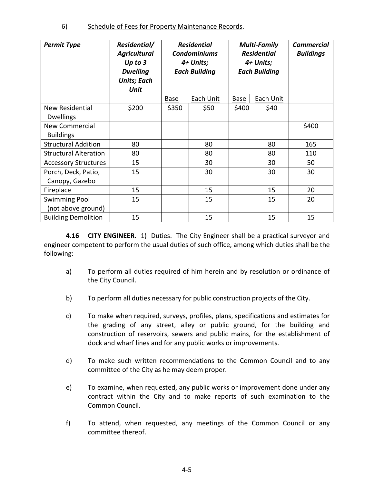6) Schedule of Fees for Property Maintenance Records.

| <b>Permit Type</b>                         | Residential/<br><b>Agricultural</b><br>Up to $3$<br><b>Dwelling</b><br><b>Units; Each</b><br>Unit | <b>Residential</b><br><b>Condominiums</b><br>4+ Units;<br><b>Each Building</b> |                  | <b>Multi-Family</b><br><b>Residential</b><br>4+ Units;<br><b>Each Building</b> |           | <b>Commercial</b><br><b>Buildings</b> |
|--------------------------------------------|---------------------------------------------------------------------------------------------------|--------------------------------------------------------------------------------|------------------|--------------------------------------------------------------------------------|-----------|---------------------------------------|
|                                            |                                                                                                   | <b>Base</b>                                                                    | <b>Each Unit</b> | <b>Base</b>                                                                    | Each Unit |                                       |
| New Residential<br><b>Dwellings</b>        | \$200                                                                                             | \$350                                                                          | \$50             | \$400                                                                          | \$40      |                                       |
| <b>New Commercial</b><br><b>Buildings</b>  |                                                                                                   |                                                                                |                  |                                                                                |           | \$400                                 |
| <b>Structural Addition</b>                 | 80                                                                                                |                                                                                | 80               |                                                                                | 80        | 165                                   |
| <b>Structural Alteration</b>               | 80                                                                                                |                                                                                | 80               |                                                                                | 80        | 110                                   |
| <b>Accessory Structures</b>                | 15                                                                                                |                                                                                | 30               |                                                                                | 30        | 50                                    |
| Porch, Deck, Patio,<br>Canopy, Gazebo      | 15                                                                                                |                                                                                | 30               |                                                                                | 30        | 30                                    |
| Fireplace                                  | 15                                                                                                |                                                                                | 15               |                                                                                | 15        | 20                                    |
| <b>Swimming Pool</b><br>(not above ground) | 15                                                                                                |                                                                                | 15               |                                                                                | 15        | 20                                    |
| <b>Building Demolition</b>                 | 15                                                                                                |                                                                                | 15               |                                                                                | 15        | 15                                    |

**4.16 CITY ENGINEER**. 1) Duties. The City Engineer shall be a practical surveyor and engineer competent to perform the usual duties of such office, among which duties shall be the following:

- a) To perform all duties required of him herein and by resolution or ordinance of the City Council.
- b) To perform all duties necessary for public construction projects of the City.
- c) To make when required, surveys, profiles, plans, specifications and estimates for the grading of any street, alley or public ground, for the building and construction of reservoirs, sewers and public mains, for the establishment of dock and wharf lines and for any public works or improvements.
- d) To make such written recommendations to the Common Council and to any committee of the City as he may deem proper.
- e) To examine, when requested, any public works or improvement done under any contract within the City and to make reports of such examination to the Common Council.
- f) To attend, when requested, any meetings of the Common Council or any committee thereof.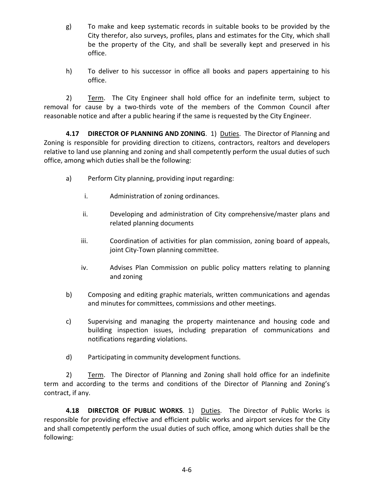- g) To make and keep systematic records in suitable books to be provided by the City therefor, also surveys, profiles, plans and estimates for the City, which shall be the property of the City, and shall be severally kept and preserved in his office.
- h) To deliver to his successor in office all books and papers appertaining to his office.

2) Term. The City Engineer shall hold office for an indefinite term, subject to removal for cause by a two-thirds vote of the members of the Common Council after reasonable notice and after a public hearing if the same is requested by the City Engineer.

**4.17 DIRECTOR OF PLANNING AND ZONING**. 1) Duties. The Director of Planning and Zoning is responsible for providing direction to citizens, contractors, realtors and developers relative to land use planning and zoning and shall competently perform the usual duties of such office, among which duties shall be the following:

- a) Perform City planning, providing input regarding:
	- i. Administration of zoning ordinances.
	- ii. Developing and administration of City comprehensive/master plans and related planning documents
	- iii. Coordination of activities for plan commission, zoning board of appeals, joint City-Town planning committee.
	- iv. Advises Plan Commission on public policy matters relating to planning and zoning
- b) Composing and editing graphic materials, written communications and agendas and minutes for committees, commissions and other meetings.
- c) Supervising and managing the property maintenance and housing code and building inspection issues, including preparation of communications and notifications regarding violations.
- d) Participating in community development functions.

2) Term. The Director of Planning and Zoning shall hold office for an indefinite term and according to the terms and conditions of the Director of Planning and Zoning's contract, if any.

**4.18 DIRECTOR OF PUBLIC WORKS**. 1) Duties. The Director of Public Works is responsible for providing effective and efficient public works and airport services for the City and shall competently perform the usual duties of such office, among which duties shall be the following: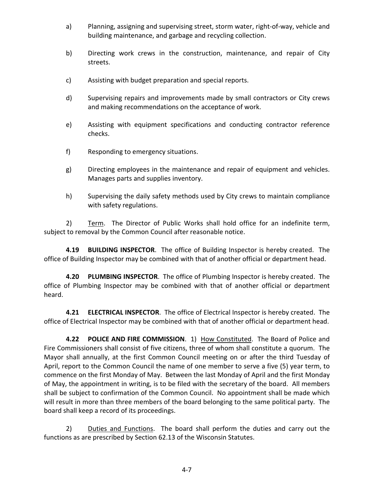- a) Planning, assigning and supervising street, storm water, right-of-way, vehicle and building maintenance, and garbage and recycling collection.
- b) Directing work crews in the construction, maintenance, and repair of City streets.
- c) Assisting with budget preparation and special reports.
- d) Supervising repairs and improvements made by small contractors or City crews and making recommendations on the acceptance of work.
- e) Assisting with equipment specifications and conducting contractor reference checks.
- f) Responding to emergency situations.
- g) Directing employees in the maintenance and repair of equipment and vehicles. Manages parts and supplies inventory.
- h) Supervising the daily safety methods used by City crews to maintain compliance with safety regulations.

2) Term. The Director of Public Works shall hold office for an indefinite term, subject to removal by the Common Council after reasonable notice.

**4.19 BUILDING INSPECTOR**. The office of Building Inspector is hereby created. The office of Building Inspector may be combined with that of another official or department head.

**4.20 PLUMBING INSPECTOR**. The office of Plumbing Inspector is hereby created. The office of Plumbing Inspector may be combined with that of another official or department heard.

**4.21 ELECTRICAL INSPECTOR**. The office of Electrical Inspector is hereby created. The office of Electrical Inspector may be combined with that of another official or department head.

**4.22 POLICE AND FIRE COMMISSION**. 1) How Constituted. The Board of Police and Fire Commissioners shall consist of five citizens, three of whom shall constitute a quorum. The Mayor shall annually, at the first Common Council meeting on or after the third Tuesday of April, report to the Common Council the name of one member to serve a five (5) year term, to commence on the first Monday of May. Between the last Monday of April and the first Monday of May, the appointment in writing, is to be filed with the secretary of the board. All members shall be subject to confirmation of the Common Council. No appointment shall be made which will result in more than three members of the board belonging to the same political party. The board shall keep a record of its proceedings.

2) Duties and Functions. The board shall perform the duties and carry out the functions as are prescribed by Section 62.13 of the Wisconsin Statutes.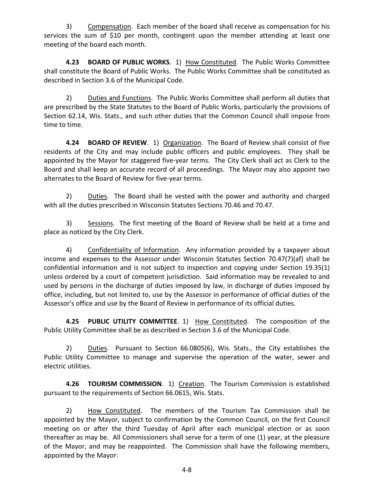3) Compensation. Each member of the board shall receive as compensation for his services the sum of \$10 per month, contingent upon the member attending at least one meeting of the board each month.

**4.23 BOARD OF PUBLIC WORKS**. 1) How Constituted. The Public Works Committee shall constitute the Board of Public Works. The Public Works Committee shall be constituted as described in Section 3.6 of the Municipal Code.

2) Duties and Functions. The Public Works Committee shall perform all duties that are prescribed by the State Statutes to the Board of Public Works, particularly the provisions of Section 62.14, Wis. Stats., and such other duties that the Common Council shall impose from time to time.

**4.24 BOARD OF REVIEW**. 1) Organization. The Board of Review shall consist of five residents of the City and may include public officers and public employees. They shall be appointed by the Mayor for staggered five-year terms. The City Clerk shall act as Clerk to the Board and shall keep an accurate record of all proceedings. The Mayor may also appoint two alternates to the Board of Review for five-year terms.

2) Duties. The Board shall be vested with the power and authority and charged with all the duties prescribed in Wisconsin Statutes Sections 70.46 and 70.47.

3) Sessions. The first meeting of the Board of Review shall be held at a time and place as noticed by the City Clerk.

4) Confidentiality of Information. Any information provided by a taxpayer about income and expenses to the Assessor under Wisconsin Statutes Section 70.47(7)(af) shall be confidential information and is not subject to inspection and copying under Section 19.35(1) unless ordered by a court of competent jurisdiction. Said information may be revealed to and used by persons in the discharge of duties imposed by law, in discharge of duties imposed by office, including, but not limited to, use by the Assessor in performance of official duties of the Assessor's office and use by the Board of Review in performance of its official duties.

**4.25 PUBLIC UTILITY COMMITTEE**. 1) How Constituted. The composition of the Public Utility Committee shall be as described in Section 3.6 of the Municipal Code.

2) Duties. Pursuant to Section 66.0805(6), Wis. Stats., the City establishes the Public Utility Committee to manage and supervise the operation of the water, sewer and electric utilities.

**4.26 TOURISM COMMISSION**. 1) Creation. The Tourism Commission is established pursuant to the requirements of Section 66.0615, Wis. Stats.

2) How Constituted. The members of the Tourism Tax Commission shall be appointed by the Mayor, subject to confirmation by the Common Council, on the first Council meeting on or after the third Tuesday of April after each municipal election or as soon thereafter as may be. All Commissioners shall serve for a term of one (1) year, at the pleasure of the Mayor, and may be reappointed. The Commission shall have the following members, appointed by the Mayor: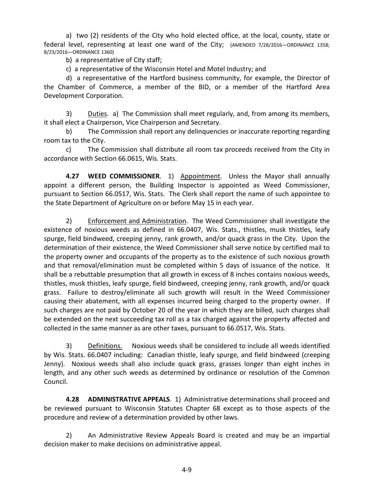a) two (2) residents of the City who hold elected office, at the local, county, state or federal level, representing at least one ward of the City; (AMENDED 7/28/2016—ORDINANCE 1358; 8/23/2016—ORDINANCE 1360)

b) a representative of City staff;

c) a representative of the Wisconsin Hotel and Motel Industry; and

d) a representative of the Hartford business community, for example, the Director of the Chamber of Commerce, a member of the BID, or a member of the Hartford Area Development Corporation.

3) Duties. a) The Commission shall meet regularly, and, from among its members, it shall elect a Chairperson, Vice Chairperson and Secretary.

b) The Commission shall report any delinquencies or inaccurate reporting regarding room tax to the City.

c) The Commission shall distribute all room tax proceeds received from the City in accordance with Section 66.0615, Wis. Stats.

**4.27 WEED COMMISSIONER**. 1) Appointment. Unless the Mayor shall annually appoint a different person, the Building Inspector is appointed as Weed Commissioner, pursuant to Section 66.0517, Wis. Stats. The Clerk shall report the name of such appointee to the State Department of Agriculture on or before May 15 in each year.

2) Enforcement and Administration. The Weed Commissioner shall investigate the existence of noxious weeds as defined in 66.0407, Wis. Stats., thistles, musk thistles, leafy spurge, field bindweed, creeping jenny, rank growth, and/or quack grass in the City. Upon the determination of their existence, the Weed Commissioner shall serve notice by certified mail to the property owner and occupants of the property as to the existence of such noxious growth and that removal/elimination must be completed within 5 days of issuance of the notice. It shall be a rebuttable presumption that all growth in excess of 8 inches contains noxious weeds, thistles, musk thistles, leafy spurge, field bindweed, creeping jenny, rank growth, and/or quack grass. Failure to destroy/eliminate all such growth will result in the Weed Commissioner causing their abatement, with all expenses incurred being charged to the property owner. If such charges are not paid by October 20 of the year in which they are billed, such charges shall be extended on the next succeeding tax roll as a tax charged against the property affected and collected in the same manner as are other taxes, pursuant to 66.0517, Wis. Stats.

3) Definitions. Noxious weeds shall be considered to include all weeds identified by Wis. Stats. 66.0407 including: Canadian thistle, leafy spurge, and field bindweed (creeping Jenny). Noxious weeds shall also include quack grass, grasses longer than eight inches in length, and any other such weeds as determined by ordinance or resolution of the Common Council.

**4.28 ADMINISTRATIVE APPEALS**. 1) Administrative determinations shall proceed and be reviewed pursuant to Wisconsin Statutes Chapter 68 except as to those aspects of the procedure and review of a determination provided by other laws.

2) An Administrative Review Appeals Board is created and may be an impartial decision maker to make decisions on administrative appeal.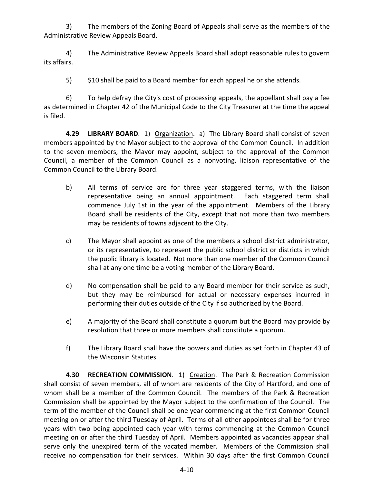3) The members of the Zoning Board of Appeals shall serve as the members of the Administrative Review Appeals Board.

4) The Administrative Review Appeals Board shall adopt reasonable rules to govern its affairs.

5) \$10 shall be paid to a Board member for each appeal he or she attends.

6) To help defray the City's cost of processing appeals, the appellant shall pay a fee as determined in Chapter 42 of the Municipal Code to the City Treasurer at the time the appeal is filed.

**4.29 LIBRARY BOARD**. 1) Organization. a) The Library Board shall consist of seven members appointed by the Mayor subject to the approval of the Common Council. In addition to the seven members, the Mayor may appoint, subject to the approval of the Common Council, a member of the Common Council as a nonvoting, liaison representative of the Common Council to the Library Board.

- b) All terms of service are for three year staggered terms, with the liaison representative being an annual appointment. Each staggered term shall commence July 1st in the year of the appointment. Members of the Library Board shall be residents of the City, except that not more than two members may be residents of towns adjacent to the City.
- c) The Mayor shall appoint as one of the members a school district administrator, or its representative, to represent the public school district or districts in which the public library is located. Not more than one member of the Common Council shall at any one time be a voting member of the Library Board.
- d) No compensation shall be paid to any Board member for their service as such, but they may be reimbursed for actual or necessary expenses incurred in performing their duties outside of the City if so authorized by the Board.
- e) A majority of the Board shall constitute a quorum but the Board may provide by resolution that three or more members shall constitute a quorum.
- f) The Library Board shall have the powers and duties as set forth in Chapter 43 of the Wisconsin Statutes.

**4.30 RECREATION COMMISSION**. 1) Creation. The Park & Recreation Commission shall consist of seven members, all of whom are residents of the City of Hartford, and one of whom shall be a member of the Common Council. The members of the Park & Recreation Commission shall be appointed by the Mayor subject to the confirmation of the Council. The term of the member of the Council shall be one year commencing at the first Common Council meeting on or after the third Tuesday of April. Terms of all other appointees shall be for three years with two being appointed each year with terms commencing at the Common Council meeting on or after the third Tuesday of April. Members appointed as vacancies appear shall serve only the unexpired term of the vacated member. Members of the Commission shall receive no compensation for their services. Within 30 days after the first Common Council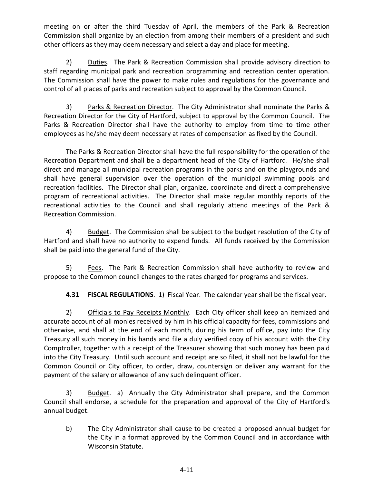meeting on or after the third Tuesday of April, the members of the Park & Recreation Commission shall organize by an election from among their members of a president and such other officers as they may deem necessary and select a day and place for meeting.

2) Duties. The Park & Recreation Commission shall provide advisory direction to staff regarding municipal park and recreation programming and recreation center operation. The Commission shall have the power to make rules and regulations for the governance and control of all places of parks and recreation subject to approval by the Common Council.

3) Parks & Recreation Director. The City Administrator shall nominate the Parks & Recreation Director for the City of Hartford, subject to approval by the Common Council. The Parks & Recreation Director shall have the authority to employ from time to time other employees as he/she may deem necessary at rates of compensation as fixed by the Council.

The Parks & Recreation Director shall have the full responsibility for the operation of the Recreation Department and shall be a department head of the City of Hartford. He/she shall direct and manage all municipal recreation programs in the parks and on the playgrounds and shall have general supervision over the operation of the municipal swimming pools and recreation facilities. The Director shall plan, organize, coordinate and direct a comprehensive program of recreational activities. The Director shall make regular monthly reports of the recreational activities to the Council and shall regularly attend meetings of the Park & Recreation Commission.

4) Budget. The Commission shall be subject to the budget resolution of the City of Hartford and shall have no authority to expend funds. All funds received by the Commission shall be paid into the general fund of the City.

5) Fees. The Park & Recreation Commission shall have authority to review and propose to the Common council changes to the rates charged for programs and services.

**4.31 FISCAL REGULATIONS**. 1) Fiscal Year. The calendar year shall be the fiscal year.

2) Officials to Pay Receipts Monthly. Each City officer shall keep an itemized and accurate account of all monies received by him in his official capacity for fees, commissions and otherwise, and shall at the end of each month, during his term of office, pay into the City Treasury all such money in his hands and file a duly verified copy of his account with the City Comptroller, together with a receipt of the Treasurer showing that such money has been paid into the City Treasury. Until such account and receipt are so filed, it shall not be lawful for the Common Council or City officer, to order, draw, countersign or deliver any warrant for the payment of the salary or allowance of any such delinquent officer.

3) Budget. a) Annually the City Administrator shall prepare, and the Common Council shall endorse, a schedule for the preparation and approval of the City of Hartford's annual budget.

b) The City Administrator shall cause to be created a proposed annual budget for the City in a format approved by the Common Council and in accordance with Wisconsin Statute.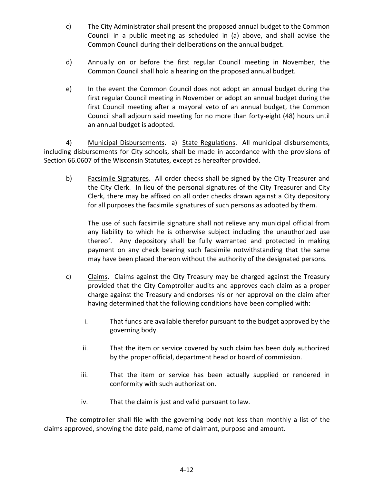- c) The City Administrator shall present the proposed annual budget to the Common Council in a public meeting as scheduled in (a) above, and shall advise the Common Council during their deliberations on the annual budget.
- d) Annually on or before the first regular Council meeting in November, the Common Council shall hold a hearing on the proposed annual budget.
- e) In the event the Common Council does not adopt an annual budget during the first regular Council meeting in November or adopt an annual budget during the first Council meeting after a mayoral veto of an annual budget, the Common Council shall adjourn said meeting for no more than forty-eight (48) hours until an annual budget is adopted.

4) Municipal Disbursements. a) State Regulations. All municipal disbursements, including disbursements for City schools, shall be made in accordance with the provisions of Section 66.0607 of the Wisconsin Statutes, except as hereafter provided.

b) Facsimile Signatures. All order checks shall be signed by the City Treasurer and the City Clerk. In lieu of the personal signatures of the City Treasurer and City Clerk, there may be affixed on all order checks drawn against a City depository for all purposes the facsimile signatures of such persons as adopted by them.

The use of such facsimile signature shall not relieve any municipal official from any liability to which he is otherwise subject including the unauthorized use thereof. Any depository shall be fully warranted and protected in making payment on any check bearing such facsimile notwithstanding that the same may have been placed thereon without the authority of the designated persons.

- c) Claims. Claims against the City Treasury may be charged against the Treasury provided that the City Comptroller audits and approves each claim as a proper charge against the Treasury and endorses his or her approval on the claim after having determined that the following conditions have been complied with:
	- i. That funds are available therefor pursuant to the budget approved by the governing body.
	- ii. That the item or service covered by such claim has been duly authorized by the proper official, department head or board of commission.
	- iii. That the item or service has been actually supplied or rendered in conformity with such authorization.
	- iv. That the claim is just and valid pursuant to law.

The comptroller shall file with the governing body not less than monthly a list of the claims approved, showing the date paid, name of claimant, purpose and amount.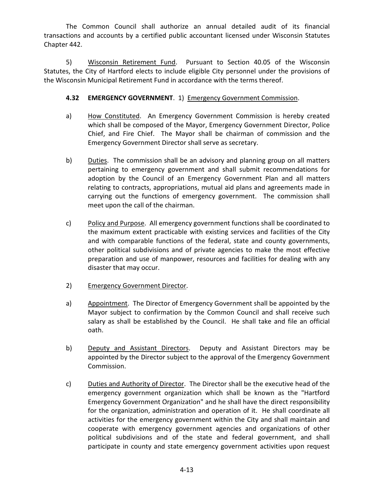The Common Council shall authorize an annual detailed audit of its financial transactions and accounts by a certified public accountant licensed under Wisconsin Statutes Chapter 442.

5) Wisconsin Retirement Fund. Pursuant to Section 40.05 of the Wisconsin Statutes, the City of Hartford elects to include eligible City personnel under the provisions of the Wisconsin Municipal Retirement Fund in accordance with the terms thereof.

## **4.32 EMERGENCY GOVERNMENT**. 1) Emergency Government Commission.

- a) How Constituted. An Emergency Government Commission is hereby created which shall be composed of the Mayor, Emergency Government Director, Police Chief, and Fire Chief. The Mayor shall be chairman of commission and the Emergency Government Director shall serve as secretary.
- b) Duties. The commission shall be an advisory and planning group on all matters pertaining to emergency government and shall submit recommendations for adoption by the Council of an Emergency Government Plan and all matters relating to contracts, appropriations, mutual aid plans and agreements made in carrying out the functions of emergency government. The commission shall meet upon the call of the chairman.
- c) Policy and Purpose. All emergency government functions shall be coordinated to the maximum extent practicable with existing services and facilities of the City and with comparable functions of the federal, state and county governments, other political subdivisions and of private agencies to make the most effective preparation and use of manpower, resources and facilities for dealing with any disaster that may occur.
- 2) Emergency Government Director.
- a) Appointment. The Director of Emergency Government shall be appointed by the Mayor subject to confirmation by the Common Council and shall receive such salary as shall be established by the Council. He shall take and file an official oath.
- b) Deputy and Assistant Directors. Deputy and Assistant Directors may be appointed by the Director subject to the approval of the Emergency Government Commission.
- c) Duties and Authority of Director. The Director shall be the executive head of the emergency government organization which shall be known as the "Hartford Emergency Government Organization" and he shall have the direct responsibility for the organization, administration and operation of it. He shall coordinate all activities for the emergency government within the City and shall maintain and cooperate with emergency government agencies and organizations of other political subdivisions and of the state and federal government, and shall participate in county and state emergency government activities upon request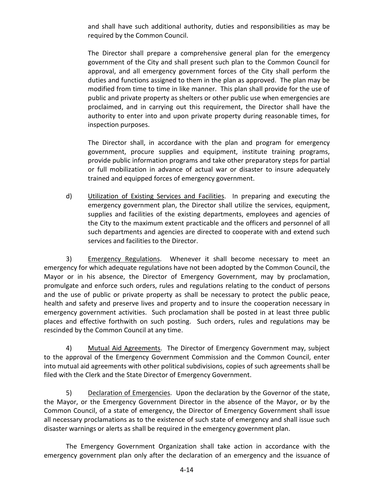and shall have such additional authority, duties and responsibilities as may be required by the Common Council.

The Director shall prepare a comprehensive general plan for the emergency government of the City and shall present such plan to the Common Council for approval, and all emergency government forces of the City shall perform the duties and functions assigned to them in the plan as approved. The plan may be modified from time to time in like manner. This plan shall provide for the use of public and private property as shelters or other public use when emergencies are proclaimed, and in carrying out this requirement, the Director shall have the authority to enter into and upon private property during reasonable times, for inspection purposes.

The Director shall, in accordance with the plan and program for emergency government, procure supplies and equipment, institute training programs, provide public information programs and take other preparatory steps for partial or full mobilization in advance of actual war or disaster to insure adequately trained and equipped forces of emergency government.

d) Utilization of Existing Services and Facilities. In preparing and executing the emergency government plan, the Director shall utilize the services, equipment, supplies and facilities of the existing departments, employees and agencies of the City to the maximum extent practicable and the officers and personnel of all such departments and agencies are directed to cooperate with and extend such services and facilities to the Director.

3) Emergency Regulations. Whenever it shall become necessary to meet an emergency for which adequate regulations have not been adopted by the Common Council, the Mayor or in his absence, the Director of Emergency Government, may by proclamation, promulgate and enforce such orders, rules and regulations relating to the conduct of persons and the use of public or private property as shall be necessary to protect the public peace, health and safety and preserve lives and property and to insure the cooperation necessary in emergency government activities. Such proclamation shall be posted in at least three public places and effective forthwith on such posting. Such orders, rules and regulations may be rescinded by the Common Council at any time.

4) Mutual Aid Agreements. The Director of Emergency Government may, subject to the approval of the Emergency Government Commission and the Common Council, enter into mutual aid agreements with other political subdivisions, copies of such agreements shall be filed with the Clerk and the State Director of Emergency Government.

5) Declaration of Emergencies. Upon the declaration by the Governor of the state, the Mayor, or the Emergency Government Director in the absence of the Mayor, or by the Common Council, of a state of emergency, the Director of Emergency Government shall issue all necessary proclamations as to the existence of such state of emergency and shall issue such disaster warnings or alerts as shall be required in the emergency government plan.

The Emergency Government Organization shall take action in accordance with the emergency government plan only after the declaration of an emergency and the issuance of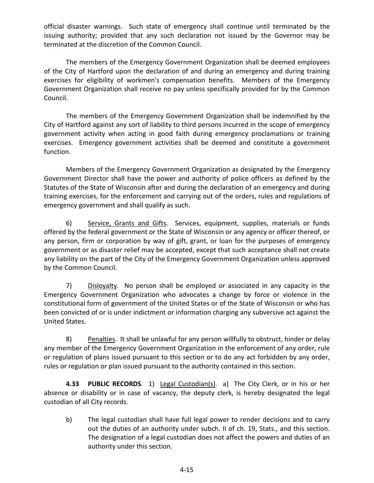official disaster warnings. Such state of emergency shall continue until terminated by the issuing authority; provided that any such declaration not issued by the Governor may be terminated at the discretion of the Common Council.

The members of the Emergency Government Organization shall be deemed employees of the City of Hartford upon the declaration of and during an emergency and during training exercises for eligibility of workmen's compensation benefits. Members of the Emergency Government Organization shall receive no pay unless specifically provided for by the Common Council.

The members of the Emergency Government Organization shall be indemnified by the City of Hartford against any sort of liability to third persons incurred in the scope of emergency government activity when acting in good faith during emergency proclamations or training exercises. Emergency government activities shall be deemed and constitute a government function.

Members of the Emergency Government Organization as designated by the Emergency Government Director shall have the power and authority of police officers as defined by the Statutes of the State of Wisconsin after and during the declaration of an emergency and during training exercises, for the enforcement and carrying out of the orders, rules and regulations of emergency government and shall qualify as such.

6) Service, Grants and Gifts. Services, equipment, supplies, materials or funds offered by the federal government or the State of Wisconsin or any agency or officer thereof, or any person, firm or corporation by way of gift, grant, or loan for the purposes of emergency government or as disaster relief may be accepted, except that such acceptance shall not create any liability on the part of the City of the Emergency Government Organization unless approved by the Common Council.

7) Disloyalty. No person shall be employed or associated in any capacity in the Emergency Government Organization who advocates a change by force or violence in the constitutional form of government of the United States or of the State of Wisconsin or who has been convicted of or is under indictment or information charging any subversive act against the United States.

8) Penalties. It shall be unlawful for any person willfully to obstruct, hinder or delay any member of the Emergency Government Organization in the enforcement of any order, rule or regulation of plans issued pursuant to this section or to do any act forbidden by any order, rules or regulation or plan issued pursuant to the authority contained in this section.

**4.33 PUBLIC RECORDS**. 1) Legal Custodian(s). a) The City Clerk, or in his or her absence or disability or in case of vacancy, the deputy clerk, is hereby designated the legal custodian of all City records.

b) The legal custodian shall have full legal power to render decisions and to carry out the duties of an authority under subch. II of ch. 19, Stats., and this section. The designation of a legal custodian does not affect the powers and duties of an authority under this section.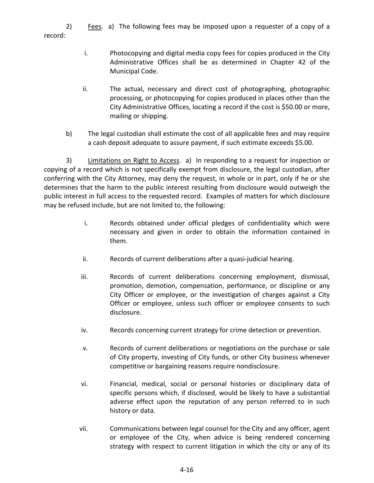2) Fees. a) The following fees may be imposed upon a requester of a copy of a record:

- i. Photocopying and digital media copy fees for copies produced in the City Administrative Offices shall be as determined in Chapter 42 of the Municipal Code.
- ii. The actual, necessary and direct cost of photographing, photographic processing, or photocopying for copies produced in places other than the City Administrative Offices, locating a record if the cost is \$50.00 or more, mailing or shipping.
- b) The legal custodian shall estimate the cost of all applicable fees and may require a cash deposit adequate to assure payment, if such estimate exceeds \$5.00.

3) Limitations on Right to Access. a) In responding to a request for inspection or copying of a record which is not specifically exempt from disclosure, the legal custodian, after conferring with the City Attorney, may deny the request, in whole or in part, only if he or she determines that the harm to the public interest resulting from disclosure would outweigh the public interest in full access to the requested record. Examples of matters for which disclosure may be refused include, but are not limited to, the following:

- i. Records obtained under official pledges of confidentiality which were necessary and given in order to obtain the information contained in them.
- ii. Records of current deliberations after a quasi-judicial hearing.
- iii. Records of current deliberations concerning employment, dismissal, promotion, demotion, compensation, performance, or discipline or any City Officer or employee, or the investigation of charges against a City Officer or employee, unless such officer or employee consents to such disclosure.
- iv. Records concerning current strategy for crime detection or prevention.
- v. Records of current deliberations or negotiations on the purchase or sale of City property, investing of City funds, or other City business whenever competitive or bargaining reasons require nondisclosure.
- vi. Financial, medical, social or personal histories or disciplinary data of specific persons which, if disclosed, would be likely to have a substantial adverse effect upon the reputation of any person referred to in such history or data.
- vii. Communications between legal counsel for the City and any officer, agent or employee of the City, when advice is being rendered concerning strategy with respect to current litigation in which the city or any of its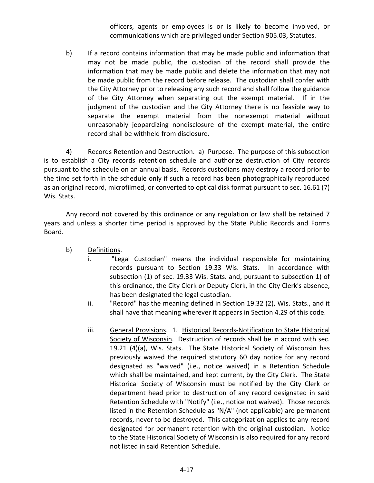officers, agents or employees is or is likely to become involved, or communications which are privileged under Section 905.03, Statutes.

b) If a record contains information that may be made public and information that may not be made public, the custodian of the record shall provide the information that may be made public and delete the information that may not be made public from the record before release. The custodian shall confer with the City Attorney prior to releasing any such record and shall follow the guidance of the City Attorney when separating out the exempt material. If in the judgment of the custodian and the City Attorney there is no feasible way to separate the exempt material from the nonexempt material without unreasonably jeopardizing nondisclosure of the exempt material, the entire record shall be withheld from disclosure.

4) Records Retention and Destruction. a) Purpose. The purpose of this subsection is to establish a City records retention schedule and authorize destruction of City records pursuant to the schedule on an annual basis. Records custodians may destroy a record prior to the time set forth in the schedule only if such a record has been photographically reproduced as an original record, microfilmed, or converted to optical disk format pursuant to sec. 16.61 (7) Wis. Stats.

Any record not covered by this ordinance or any regulation or law shall be retained 7 years and unless a shorter time period is approved by the State Public Records and Forms Board.

- b) Definitions.
	- i. "Legal Custodian" means the individual responsible for maintaining records pursuant to Section 19.33 Wis. Stats. In accordance with subsection (1) of sec. 19.33 Wis. Stats. and, pursuant to subsection 1) of this ordinance, the City Clerk or Deputy Clerk, in the City Clerk's absence, has been designated the legal custodian.
	- ii. "Record" has the meaning defined in Section 19.32 (2), Wis. Stats., and it shall have that meaning wherever it appears in Section 4.29 of this code.
	- iii. General Provisions. 1. Historical Records-Notification to State Historical Society of Wisconsin. Destruction of records shall be in accord with sec. 19.21 (4)(a), Wis. Stats. The State Historical Society of Wisconsin has previously waived the required statutory 60 day notice for any record designated as "waived" (i.e., notice waived) in a Retention Schedule which shall be maintained, and kept current, by the City Clerk. The State Historical Society of Wisconsin must be notified by the City Clerk or department head prior to destruction of any record designated in said Retention Schedule with "Notify" (i.e., notice not waived). Those records listed in the Retention Schedule as "N/A" (not applicable) are permanent records, never to be destroyed. This categorization applies to any record designated for permanent retention with the original custodian. Notice to the State Historical Society of Wisconsin is also required for any record not listed in said Retention Schedule.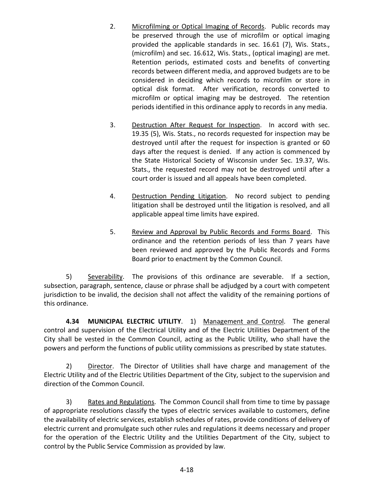- 2. Microfilming or Optical Imaging of Records. Public records may be preserved through the use of microfilm or optical imaging provided the applicable standards in sec. 16.61 (7), Wis. Stats., (microfilm) and sec. 16.612, Wis. Stats., (optical imaging) are met. Retention periods, estimated costs and benefits of converting records between different media, and approved budgets are to be considered in deciding which records to microfilm or store in optical disk format. After verification, records converted to microfilm or optical imaging may be destroyed. The retention periods identified in this ordinance apply to records in any media.
- 3. Destruction After Request for Inspection. In accord with sec. 19.35 (5), Wis. Stats., no records requested for inspection may be destroyed until after the request for inspection is granted or 60 days after the request is denied. If any action is commenced by the State Historical Society of Wisconsin under Sec. 19.37, Wis. Stats., the requested record may not be destroyed until after a court order is issued and all appeals have been completed.
- 4. Destruction Pending Litigation. No record subject to pending litigation shall be destroyed until the litigation is resolved, and all applicable appeal time limits have expired.
- 5. Review and Approval by Public Records and Forms Board. This ordinance and the retention periods of less than 7 years have been reviewed and approved by the Public Records and Forms Board prior to enactment by the Common Council.

5) Severability. The provisions of this ordinance are severable. If a section, subsection, paragraph, sentence, clause or phrase shall be adjudged by a court with competent jurisdiction to be invalid, the decision shall not affect the validity of the remaining portions of this ordinance.

**4.34 MUNICIPAL ELECTRIC UTILITY**. 1) Management and Control. The general control and supervision of the Electrical Utility and of the Electric Utilities Department of the City shall be vested in the Common Council, acting as the Public Utility, who shall have the powers and perform the functions of public utility commissions as prescribed by state statutes.

2) Director. The Director of Utilities shall have charge and management of the Electric Utility and of the Electric Utilities Department of the City, subject to the supervision and direction of the Common Council.

3) Rates and Regulations. The Common Council shall from time to time by passage of appropriate resolutions classify the types of electric services available to customers, define the availability of electric services, establish schedules of rates, provide conditions of delivery of electric current and promulgate such other rules and regulations it deems necessary and proper for the operation of the Electric Utility and the Utilities Department of the City, subject to control by the Public Service Commission as provided by law.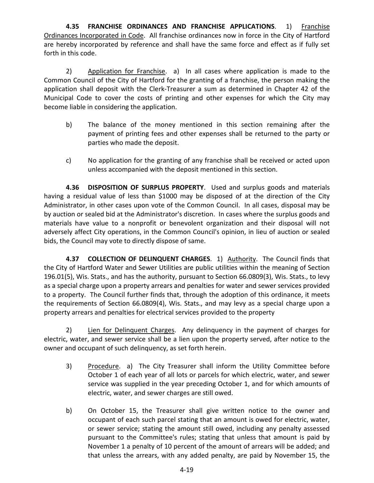**4.35 FRANCHISE ORDINANCES AND FRANCHISE APPLICATIONS**. 1) Franchise Ordinances Incorporated in Code. All franchise ordinances now in force in the City of Hartford are hereby incorporated by reference and shall have the same force and effect as if fully set forth in this code.

2) Application for Franchise. a) In all cases where application is made to the Common Council of the City of Hartford for the granting of a franchise, the person making the application shall deposit with the Clerk-Treasurer a sum as determined in Chapter 42 of the Municipal Code to cover the costs of printing and other expenses for which the City may become liable in considering the application.

- b) The balance of the money mentioned in this section remaining after the payment of printing fees and other expenses shall be returned to the party or parties who made the deposit.
- c) No application for the granting of any franchise shall be received or acted upon unless accompanied with the deposit mentioned in this section.

**4.36 DISPOSITION OF SURPLUS PROPERTY**. Used and surplus goods and materials having a residual value of less than \$1000 may be disposed of at the direction of the City Administrator, in other cases upon vote of the Common Council. In all cases, disposal may be by auction or sealed bid at the Administrator's discretion. In cases where the surplus goods and materials have value to a nonprofit or benevolent organization and their disposal will not adversely affect City operations, in the Common Council's opinion, in lieu of auction or sealed bids, the Council may vote to directly dispose of same.

**4.37 COLLECTION OF DELINQUENT CHARGES**. 1) Authority. The Council finds that the City of Hartford Water and Sewer Utilities are public utilities within the meaning of Section 196.01(5), Wis. Stats., and has the authority, pursuant to Section 66.0809(3), Wis. Stats., to levy as a special charge upon a property arrears and penalties for water and sewer services provided to a property. The Council further finds that, through the adoption of this ordinance, it meets the requirements of Section 66.0809(4), Wis. Stats., and may levy as a special charge upon a property arrears and penalties for electrical services provided to the property

2) Lien for Delinquent Charges. Any delinquency in the payment of charges for electric, water, and sewer service shall be a lien upon the property served, after notice to the owner and occupant of such delinquency, as set forth herein.

- 3) Procedure. a) The City Treasurer shall inform the Utility Committee before October 1 of each year of all lots or parcels for which electric, water, and sewer service was supplied in the year preceding October 1, and for which amounts of electric, water, and sewer charges are still owed.
- b) On October 15, the Treasurer shall give written notice to the owner and occupant of each such parcel stating that an amount is owed for electric, water, or sewer service; stating the amount still owed, including any penalty assessed pursuant to the Committee's rules; stating that unless that amount is paid by November 1 a penalty of 10 percent of the amount of arrears will be added; and that unless the arrears, with any added penalty, are paid by November 15, the